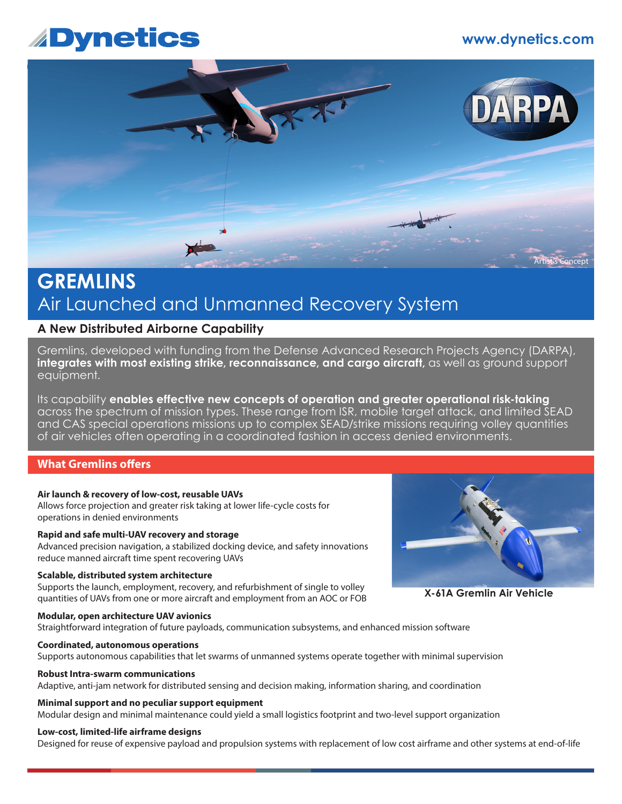# **www.dynetics.com**

# **Dynetics**



# **GREMLINS** Air Launched and Unmanned Recovery System

# **A New Distributed Airborne Capability**

Gremlins, developed with funding from the Defense Advanced Research Projects Agency (DARPA), **integrates with most existing strike, reconnaissance, and cargo aircraft,** as well as ground support equipment.

Its capability **enables effective new concepts of operation and greater operational risk-taking**  across the spectrum of mission types. These range from ISR, mobile target attack, and limited SEAD and CAS special operations missions up to complex SEAD/strike missions requiring volley quantities of air vehicles often operating in a coordinated fashion in access denied environments.

### **What Gremlins offers**

#### **Air launch & recovery of low-cost, reusable UAVs**

Allows force projection and greater risk taking at lower life-cycle costs for operations in denied environments

#### **Rapid and safe multi-UAV recovery and storage**

Advanced precision navigation, a stabilized docking device, and safety innovations reduce manned aircraft time spent recovering UAVs

#### **Scalable, distributed system architecture**

Supports the launch, employment, recovery, and refurbishment of single to volley quantities of UAVs from one or more aircraft and employment from an AOC or FOB

#### **Modular, open architecture UAV avionics**

Straightforward integration of future payloads, communication subsystems, and enhanced mission software

#### **Coordinated, autonomous operations**

Supports autonomous capabilities that let swarms of unmanned systems operate together with minimal supervision

#### **Robust Intra-swarm communications**

Adaptive, anti-jam network for distributed sensing and decision making, information sharing, and coordination

#### **Minimal support and no peculiar support equipment**

Modular design and minimal maintenance could yield a small logistics footprint and two-level support organization

#### **Low-cost, limited-life airframe designs**

Designed for reuse of expensive payload and propulsion systems with replacement of low cost airframe and other systems at end-of-life



**X-61A Gremlin Air Vehicle**